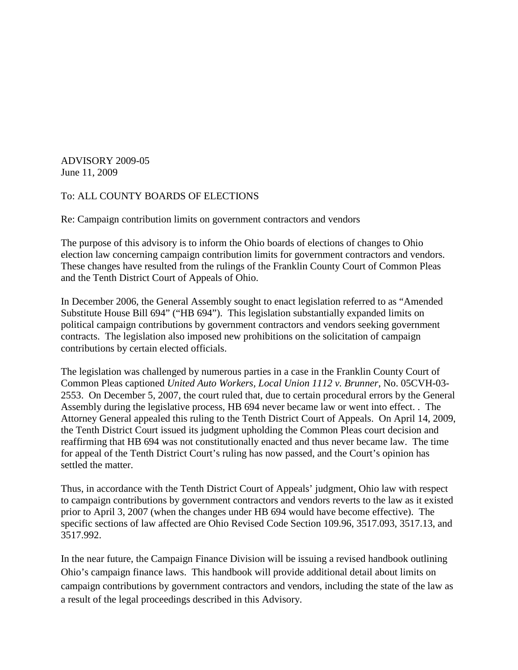ADVISORY 2009-05 June 11, 2009

## To: ALL COUNTY BOARDS OF ELECTIONS

Re: Campaign contribution limits on government contractors and vendors

The purpose of this advisory is to inform the Ohio boards of elections of changes to Ohio election law concerning campaign contribution limits for government contractors and vendors. These changes have resulted from the rulings of the Franklin County Court of Common Pleas and the Tenth District Court of Appeals of Ohio.

In December 2006, the General Assembly sought to enact legislation referred to as "Amended Substitute House Bill 694" ("HB 694"). This legislation substantially expanded limits on political campaign contributions by government contractors and vendors seeking government contracts. The legislation also imposed new prohibitions on the solicitation of campaign contributions by certain elected officials.

The legislation was challenged by numerous parties in a case in the Franklin County Court of Common Pleas captioned *United Auto Workers, Local Union 1112 v. Brunner*, No. 05CVH-03- 2553. On December 5, 2007, the court ruled that, due to certain procedural errors by the General Assembly during the legislative process, HB 694 never became law or went into effect. . The Attorney General appealed this ruling to the Tenth District Court of Appeals. On April 14, 2009, the Tenth District Court issued its judgment upholding the Common Pleas court decision and reaffirming that HB 694 was not constitutionally enacted and thus never became law. The time for appeal of the Tenth District Court's ruling has now passed, and the Court's opinion has settled the matter.

Thus, in accordance with the Tenth District Court of Appeals' judgment, Ohio law with respect to campaign contributions by government contractors and vendors reverts to the law as it existed prior to April 3, 2007 (when the changes under HB 694 would have become effective). The specific sections of law affected are Ohio Revised Code Section 109.96, 3517.093, 3517.13, and 3517.992.

In the near future, the Campaign Finance Division will be issuing a revised handbook outlining Ohio's campaign finance laws. This handbook will provide additional detail about limits on campaign contributions by government contractors and vendors, including the state of the law as a result of the legal proceedings described in this Advisory.